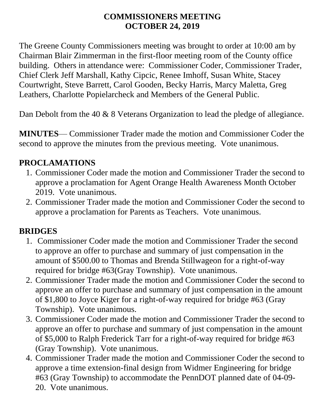#### **COMMISSIONERS MEETING OCTOBER 24, 2019**

The Greene County Commissioners meeting was brought to order at 10:00 am by Chairman Blair Zimmerman in the first-floor meeting room of the County office building. Others in attendance were: Commissioner Coder, Commissioner Trader, Chief Clerk Jeff Marshall, Kathy Cipcic, Renee Imhoff, Susan White, Stacey Courtwright, Steve Barrett, Carol Gooden, Becky Harris, Marcy Maletta, Greg Leathers, Charlotte Popielarcheck and Members of the General Public.

Dan Debolt from the 40 & 8 Veterans Organization to lead the pledge of allegiance.

**MINUTES**— Commissioner Trader made the motion and Commissioner Coder the second to approve the minutes from the previous meeting. Vote unanimous.

#### **PROCLAMATIONS**

- 1. Commissioner Coder made the motion and Commissioner Trader the second to approve a proclamation for Agent Orange Health Awareness Month October 2019. Vote unanimous.
- 2. Commissioner Trader made the motion and Commissioner Coder the second to approve a proclamation for Parents as Teachers. Vote unanimous.

#### **BRIDGES**

- 1. Commissioner Coder made the motion and Commissioner Trader the second to approve an offer to purchase and summary of just compensation in the amount of \$500.00 to Thomas and Brenda Stillwageon for a right-of-way required for bridge #63(Gray Township). Vote unanimous.
- 2. Commissioner Trader made the motion and Commissioner Coder the second to approve an offer to purchase and summary of just compensation in the amount of \$1,800 to Joyce Kiger for a right-of-way required for bridge #63 (Gray Township). Vote unanimous.
- 3. Commissioner Coder made the motion and Commissioner Trader the second to approve an offer to purchase and summary of just compensation in the amount of \$5,000 to Ralph Frederick Tarr for a right-of-way required for bridge #63 (Gray Township). Vote unanimous.
- 4. Commissioner Trader made the motion and Commissioner Coder the second to approve a time extension-final design from Widmer Engineering for bridge #63 (Gray Township) to accommodate the PennDOT planned date of 04-09- 20. Vote unanimous.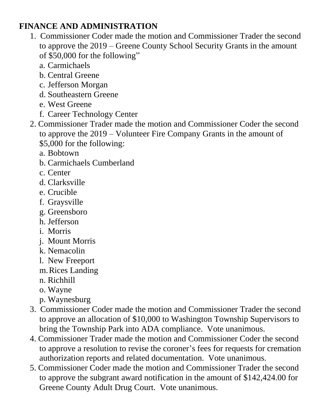#### **FINANCE AND ADMINISTRATION**

- 1. Commissioner Coder made the motion and Commissioner Trader the second to approve the 2019 – Greene County School Security Grants in the amount of \$50,000 for the following"
	- a. Carmichaels
	- b. Central Greene
	- c. Jefferson Morgan
	- d. Southeastern Greene
	- e. West Greene
	- f. Career Technology Center
- 2. Commissioner Trader made the motion and Commissioner Coder the second to approve the 2019 – Volunteer Fire Company Grants in the amount of \$5,000 for the following:
	- a. Bobtown
	- b. Carmichaels Cumberland
	- c. Center
	- d. Clarksville
	- e. Crucible
	- f. Graysville
	- g. Greensboro
	- h. Jefferson
	- i. Morris
	- j. Mount Morris
	- k. Nemacolin
	- l. New Freeport
	- m.Rices Landing
	- n. Richhill
	- o. Wayne
	- p. Waynesburg
- 3. Commissioner Coder made the motion and Commissioner Trader the second to approve an allocation of \$10,000 to Washington Township Supervisors to bring the Township Park into ADA compliance. Vote unanimous.
- 4. Commissioner Trader made the motion and Commissioner Coder the second to approve a resolution to revise the coroner's fees for requests for cremation authorization reports and related documentation. Vote unanimous.
- 5. Commissioner Coder made the motion and Commissioner Trader the second to approve the subgrant award notification in the amount of \$142,424.00 for Greene County Adult Drug Court. Vote unanimous.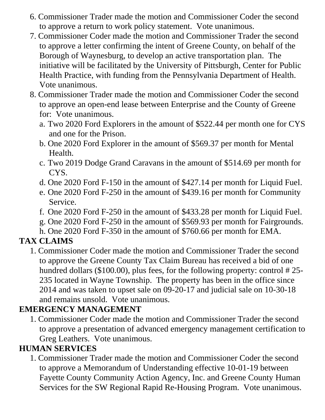- 6. Commissioner Trader made the motion and Commissioner Coder the second to approve a return to work policy statement. Vote unanimous.
- 7. Commissioner Coder made the motion and Commissioner Trader the second to approve a letter confirming the intent of Greene County, on behalf of the Borough of Waynesburg, to develop an active transportation plan. The initiative will be facilitated by the University of Pittsburgh, Center for Public Health Practice, with funding from the Pennsylvania Department of Health. Vote unanimous.
- 8. Commissioner Trader made the motion and Commissioner Coder the second to approve an open-end lease between Enterprise and the County of Greene for: Vote unanimous.
	- a. Two 2020 Ford Explorers in the amount of \$522.44 per month one for CYS and one for the Prison.
	- b. One 2020 Ford Explorer in the amount of \$569.37 per month for Mental Health.
	- c. Two 2019 Dodge Grand Caravans in the amount of \$514.69 per month for CYS.
	- d. One 2020 Ford F-150 in the amount of \$427.14 per month for Liquid Fuel.
	- e. One 2020 Ford F-250 in the amount of \$439.16 per month for Community Service.
	- f. One 2020 Ford F-250 in the amount of \$433.28 per month for Liquid Fuel.
	- g. One 2020 Ford F-250 in the amount of \$569.93 per month for Fairgrounds.
	- h. One 2020 Ford F-350 in the amount of \$760.66 per month for EMA.

### **TAX CLAIMS**

1. Commissioner Coder made the motion and Commissioner Trader the second to approve the Greene County Tax Claim Bureau has received a bid of one hundred dollars (\$100.00), plus fees, for the following property: control #25-235 located in Wayne Township. The property has been in the office since 2014 and was taken to upset sale on 09-20-17 and judicial sale on 10-30-18 and remains unsold. Vote unanimous.

#### **EMERGENCY MANAGEMENT**

1. Commissioner Coder made the motion and Commissioner Trader the second to approve a presentation of advanced emergency management certification to Greg Leathers. Vote unanimous.

#### **HUMAN SERVICES**

1. Commissioner Trader made the motion and Commissioner Coder the second to approve a Memorandum of Understanding effective 10-01-19 between Fayette County Community Action Agency, Inc. and Greene County Human Services for the SW Regional Rapid Re-Housing Program. Vote unanimous.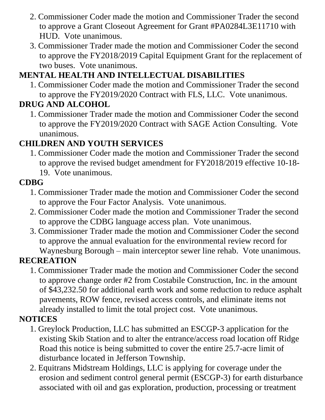- 2. Commissioner Coder made the motion and Commissioner Trader the second to approve a Grant Closeout Agreement for Grant #PA0284L3E11710 with HUD. Vote unanimous.
- 3. Commissioner Trader made the motion and Commissioner Coder the second to approve the FY2018/2019 Capital Equipment Grant for the replacement of two buses. Vote unanimous.

# **MENTAL HEALTH AND INTELLECTUAL DISABILITIES**

1. Commissioner Coder made the motion and Commissioner Trader the second to approve the FY2019/2020 Contract with FLS, LLC. Vote unanimous.

# **DRUG AND ALCOHOL**

1. Commissioner Trader made the motion and Commissioner Coder the second to approve the FY2019/2020 Contract with SAGE Action Consulting. Vote unanimous.

### **CHILDREN AND YOUTH SERVICES**

1. Commissioner Coder made the motion and Commissioner Trader the second to approve the revised budget amendment for FY2018/2019 effective 10-18- 19. Vote unanimous.

### **CDBG**

- 1. Commissioner Trader made the motion and Commissioner Coder the second to approve the Four Factor Analysis. Vote unanimous.
- 2. Commissioner Coder made the motion and Commissioner Trader the second to approve the CDBG language access plan. Vote unanimous.
- 3. Commissioner Trader made the motion and Commissioner Coder the second to approve the annual evaluation for the environmental review record for Waynesburg Borough – main interceptor sewer line rehab. Vote unanimous.

# **RECREATION**

1. Commissioner Trader made the motion and Commissioner Coder the second to approve change order #2 from Costabile Construction, Inc. in the amount of \$43,232.50 for additional earth work and some reduction to reduce asphalt pavements, ROW fence, revised access controls, and eliminate items not already installed to limit the total project cost. Vote unanimous.

## **NOTICES**

- 1. Greylock Production, LLC has submitted an ESCGP-3 application for the existing Skib Station and to alter the entrance/access road location off Ridge Road this notice is being submitted to cover the entire 25.7-acre limit of disturbance located in Jefferson Township.
- 2. Equitrans Midstream Holdings, LLC is applying for coverage under the erosion and sediment control general permit (ESCGP-3) for earth disturbance associated with oil and gas exploration, production, processing or treatment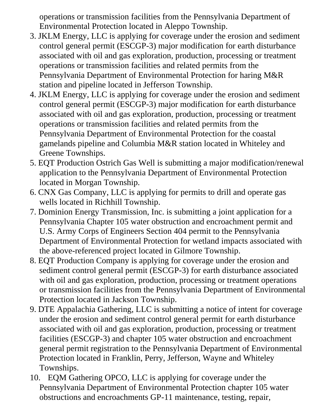operations or transmission facilities from the Pennsylvania Department of Environmental Protection located in Aleppo Township.

- 3. JKLM Energy, LLC is applying for coverage under the erosion and sediment control general permit (ESCGP-3) major modification for earth disturbance associated with oil and gas exploration, production, processing or treatment operations or transmission facilities and related permits from the Pennsylvania Department of Environmental Protection for haring M&R station and pipeline located in Jefferson Township.
- 4. JKLM Energy, LLC is applying for coverage under the erosion and sediment control general permit (ESCGP-3) major modification for earth disturbance associated with oil and gas exploration, production, processing or treatment operations or transmission facilities and related permits from the Pennsylvania Department of Environmental Protection for the coastal gamelands pipeline and Columbia M&R station located in Whiteley and Greene Townships.
- 5. EQT Production Ostrich Gas Well is submitting a major modification/renewal application to the Pennsylvania Department of Environmental Protection located in Morgan Township.
- 6. CNX Gas Company, LLC is applying for permits to drill and operate gas wells located in Richhill Township.
- 7. Dominion Energy Transmission, Inc. is submitting a joint application for a Pennsylvania Chapter 105 water obstruction and encroachment permit and U.S. Army Corps of Engineers Section 404 permit to the Pennsylvania Department of Environmental Protection for wetland impacts associated with the above-referenced project located in Gilmore Township.
- 8. EQT Production Company is applying for coverage under the erosion and sediment control general permit (ESCGP-3) for earth disturbance associated with oil and gas exploration, production, processing or treatment operations or transmission facilities from the Pennsylvania Department of Environmental Protection located in Jackson Township.
- 9. DTE Appalachia Gathering, LLC is submitting a notice of intent for coverage under the erosion and sediment control general permit for earth disturbance associated with oil and gas exploration, production, processing or treatment facilities (ESCGP-3) and chapter 105 water obstruction and encroachment general permit registration to the Pennsylvania Department of Environmental Protection located in Franklin, Perry, Jefferson, Wayne and Whiteley Townships.
- 10. EQM Gathering OPCO, LLC is applying for coverage under the Pennsylvania Department of Environmental Protection chapter 105 water obstructions and encroachments GP-11 maintenance, testing, repair,